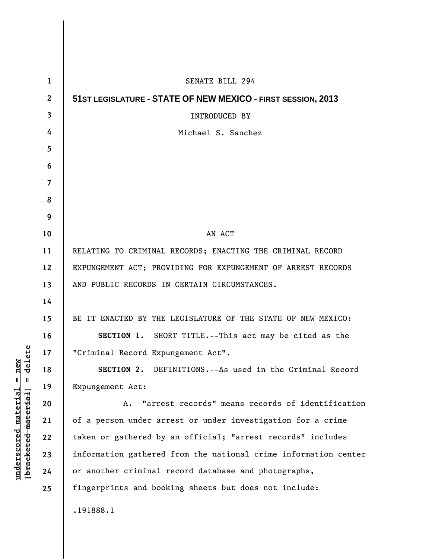| $\mathbf{1}$     | <b>SENATE BILL 294</b>                                          |
|------------------|-----------------------------------------------------------------|
| $\boldsymbol{2}$ | 51ST LEGISLATURE - STATE OF NEW MEXICO - FIRST SESSION, 2013    |
| 3                | <b>INTRODUCED BY</b>                                            |
| 4                | Michael S. Sanchez                                              |
| 5                |                                                                 |
| 6                |                                                                 |
| 7                |                                                                 |
| 8                |                                                                 |
| 9                |                                                                 |
| 10               | AN ACT                                                          |
| 11               | RELATING TO CRIMINAL RECORDS; ENACTING THE CRIMINAL RECORD      |
| 12               | EXPUNGEMENT ACT; PROVIDING FOR EXPUNGEMENT OF ARREST RECORDS    |
| 13               | AND PUBLIC RECORDS IN CERTAIN CIRCUMSTANCES.                    |
| 14               |                                                                 |
| 15               | BE IT ENACTED BY THE LEGISLATURE OF THE STATE OF NEW MEXICO:    |
| 16               | SECTION 1. SHORT TITLE.--This act may be cited as the           |
| 17               | "Criminal Record Expungement Act".                              |
| 18               | <b>SECTION 2.</b> DEFINITIONS.--As used in the Criminal Record  |
| 19               | Expungement Act:                                                |
| 20               | "arrest records" means records of identification<br>Α.          |
| 21               | of a person under arrest or under investigation for a crime     |
| 22               | taken or gathered by an official; "arrest records" includes     |
| 23               | information gathered from the national crime information center |
| 24               | or another criminal record database and photographs,            |
| 25               | fingerprints and booking sheets but does not include:           |
|                  | .191888.1                                                       |

 $[**bracket eted metert et**] = **del et e**$ **[bracketed material] = delete**  $underscored material = new$ **underscored material = new**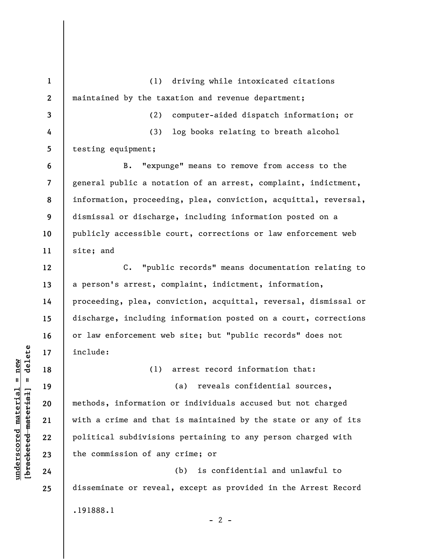**1 2 3 4 5 6 7 8 9 10 11 12 13 14 15 16 17 18 19 20 21 22 23 24 25**  (1) driving while intoxicated citations maintained by the taxation and revenue department; (2) computer-aided dispatch information; or (3) log books relating to breath alcohol testing equipment; B. "expunge" means to remove from access to the general public a notation of an arrest, complaint, indictment, information, proceeding, plea, conviction, acquittal, reversal, dismissal or discharge, including information posted on a publicly accessible court, corrections or law enforcement web site; and C. "public records" means documentation relating to a person's arrest, complaint, indictment, information, proceeding, plea, conviction, acquittal, reversal, dismissal or discharge, including information posted on a court, corrections or law enforcement web site; but "public records" does not include: (1) arrest record information that: (a) reveals confidential sources, methods, information or individuals accused but not charged with a crime and that is maintained by the state or any of its political subdivisions pertaining to any person charged with the commission of any crime; or (b) is confidential and unlawful to disseminate or reveal, except as provided in the Arrest Record .191888.1  $- 2 -$ 

 $\frac{1}{2}$  intereted material = delete **[bracketed material] = delete**  $underscored material = new$ **underscored material = new**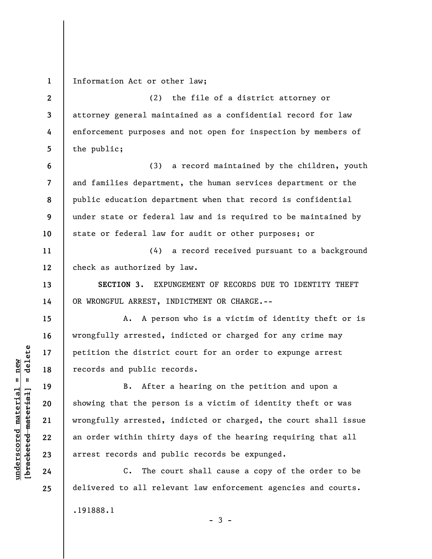**1**  Information Act or other law;

**2 3 4 5**  (2) the file of a district attorney or attorney general maintained as a confidential record for law enforcement purposes and not open for inspection by members of the public;

(3) a record maintained by the children, youth and families department, the human services department or the public education department when that record is confidential under state or federal law and is required to be maintained by state or federal law for audit or other purposes; or

**11 12**  (4) a record received pursuant to a background check as authorized by law.

**SECTION 3.** EXPUNGEMENT OF RECORDS DUE TO IDENTITY THEFT OR WRONGFUL ARREST, INDICTMENT OR CHARGE.--

A. A person who is a victim of identity theft or is wrongfully arrested, indicted or charged for any crime may petition the district court for an order to expunge arrest records and public records.

B. After a hearing on the petition and upon a showing that the person is a victim of identity theft or was wrongfully arrested, indicted or charged, the court shall issue an order within thirty days of the hearing requiring that all arrest records and public records be expunged.

C. The court shall cause a copy of the order to be delivered to all relevant law enforcement agencies and courts. .191888.1  $-3 -$ 

 $\frac{1}{2}$  intereted material = delete **[bracketed material] = delete**  $underscored material = new$ **underscored material = new**

**6** 

**7** 

**8** 

**9** 

**10** 

**13** 

**14** 

**15** 

**16** 

**17** 

**18** 

**19** 

**20** 

**21** 

**22** 

**23** 

**24** 

**25**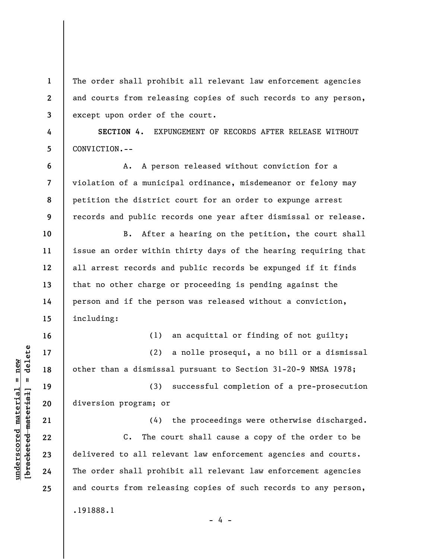The order shall prohibit all relevant law enforcement agencies and courts from releasing copies of such records to any person, except upon order of the court.

**SECTION 4.** EXPUNGEMENT OF RECORDS AFTER RELEASE WITHOUT CONVICTION.--

A. A person released without conviction for a violation of a municipal ordinance, misdemeanor or felony may petition the district court for an order to expunge arrest records and public records one year after dismissal or release.

B. After a hearing on the petition, the court shall issue an order within thirty days of the hearing requiring that all arrest records and public records be expunged if it finds that no other charge or proceeding is pending against the person and if the person was released without a conviction, including:

**16** 

**1** 

**2** 

**3** 

**4** 

**5** 

**6** 

**7** 

**8** 

**9** 

**10** 

**11** 

**12** 

**13** 

**14** 

**15** 

**17** 

**18** 

**19** 

**20** 

**21** 

**22** 

**23** 

**24** 

**25** 

(1) an acquittal or finding of not guilty;

(2) a nolle prosequi, a no bill or a dismissal other than a dismissal pursuant to Section 31-20-9 NMSA 1978;

(3) successful completion of a pre-prosecution diversion program; or

(4) the proceedings were otherwise discharged. C. The court shall cause a copy of the order to be delivered to all relevant law enforcement agencies and courts. The order shall prohibit all relevant law enforcement agencies and courts from releasing copies of such records to any person, .191888.1

- 4 -

 $\frac{1}{2}$  of  $\frac{1}{2}$  and  $\frac{1}{2}$  and  $\frac{1}{2}$  and  $\frac{1}{2}$  and  $\frac{1}{2}$  and  $\frac{1}{2}$  and  $\frac{1}{2}$  and  $\frac{1}{2}$  and  $\frac{1}{2}$  and  $\frac{1}{2}$  and  $\frac{1}{2}$  and  $\frac{1}{2}$  and  $\frac{1}{2}$  and  $\frac{1}{2}$  and  $\frac{1}{2}$  an **[bracketed material] = delete**  $underscored material = new$ **underscored material = new**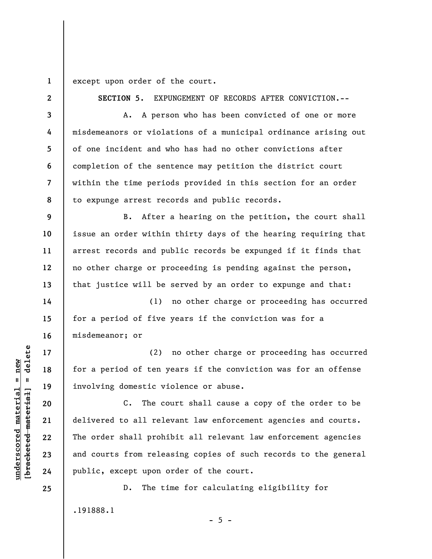**1**  except upon order of the court.

**2** 

**3** 

**4** 

**5** 

**6** 

**7** 

**8** 

**9** 

**10** 

**11** 

**12** 

**13** 

**14** 

**15** 

**16** 

**17** 

**18** 

**19** 

**20** 

**21** 

**22** 

**23** 

**24** 

**25** 

**SECTION 5.** EXPUNGEMENT OF RECORDS AFTER CONVICTION.--

A. A person who has been convicted of one or more misdemeanors or violations of a municipal ordinance arising out of one incident and who has had no other convictions after completion of the sentence may petition the district court within the time periods provided in this section for an order to expunge arrest records and public records.

B. After a hearing on the petition, the court shall issue an order within thirty days of the hearing requiring that arrest records and public records be expunged if it finds that no other charge or proceeding is pending against the person, that justice will be served by an order to expunge and that:

(1) no other charge or proceeding has occurred for a period of five years if the conviction was for a misdemeanor; or

(2) no other charge or proceeding has occurred for a period of ten years if the conviction was for an offense involving domestic violence or abuse.

C. The court shall cause a copy of the order to be delivered to all relevant law enforcement agencies and courts. The order shall prohibit all relevant law enforcement agencies and courts from releasing copies of such records to the general public, except upon order of the court.

D. The time for calculating eligibility for

.191888.1

 $\frac{1}{2}$  of  $\frac{1}{2}$  and  $\frac{1}{2}$  and  $\frac{1}{2}$  and  $\frac{1}{2}$  and  $\frac{1}{2}$  and  $\frac{1}{2}$  and  $\frac{1}{2}$  and  $\frac{1}{2}$  and  $\frac{1}{2}$  and  $\frac{1}{2}$  and  $\frac{1}{2}$  and  $\frac{1}{2}$  and  $\frac{1}{2}$  and  $\frac{1}{2}$  and  $\frac{1}{2}$  an **[bracketed material] = delete**  $underscored material = new$ **underscored material = new**